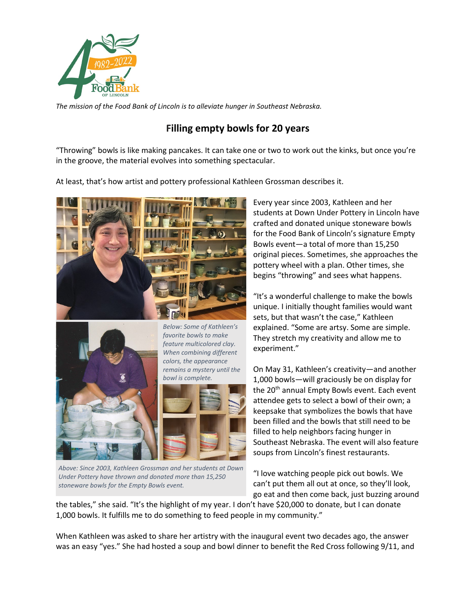

*The mission of the Food Bank of Lincoln is to alleviate hunger in Southeast Nebraska.* 

## **Filling empty bowls for 20 years**

"Throwing" bowls is like making pancakes. It can take one or two to work out the kinks, but once you're in the groove, the material evolves into something spectacular.

At least, that's how artist and pottery professional Kathleen Grossman describes it.





*Above: Since 2003, Kathleen Grossman and her students at Down Under Pottery have thrown and donated more than 15,250 stoneware bowls for the Empty Bowls event.*

Every year since 2003, Kathleen and her students at Down Under Pottery in Lincoln have crafted and donated unique stoneware bowls for the Food Bank of Lincoln's signature Empty Bowls event—a total of more than 15,250 original pieces. Sometimes, she approaches the pottery wheel with a plan. Other times, she begins "throwing" and sees what happens.

"It's a wonderful challenge to make the bowls unique. I initially thought families would want sets, but that wasn't the case," Kathleen explained. "Some are artsy. Some are simple. They stretch my creativity and allow me to experiment."

On May 31, Kathleen's creativity—and another 1,000 bowls—will graciously be on display for the 20<sup>th</sup> annual Empty Bowls event. Each event attendee gets to select a bowl of their own; a keepsake that symbolizes the bowls that have been filled and the bowls that still need to be filled to help neighbors facing hunger in Southeast Nebraska. The event will also feature soups from Lincoln's finest restaurants.

"I love watching people pick out bowls. We can't put them all out at once, so they'll look, go eat and then come back, just buzzing around

the tables," she said. "It's the highlight of my year. I don't have \$20,000 to donate, but I can donate 1,000 bowls. It fulfills me to do something to feed people in my community."

When Kathleen was asked to share her artistry with the inaugural event two decades ago, the answer was an easy "yes." She had hosted a soup and bowl dinner to benefit the Red Cross following 9/11, and